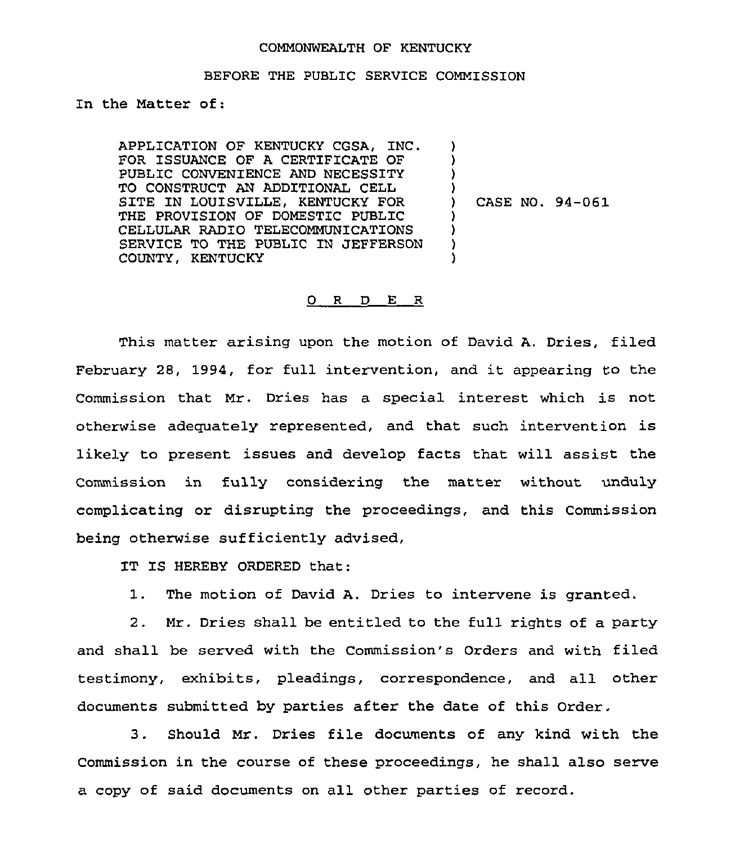## COMMONWEALTH OF KENTUCKY

## BEFORE THE PUBLIC SERVICE COMMISSION

In the Matter of:

APPLICATION OF KENTUCKY CGSA, INC. FOR ISSUANCE OF A CERTIFICATE OF PUBLIC CONVENIENCE AND NECESSITY TO CONSTRUCT AN ADDITIONAL CELL SITE IN LOUISVILLE, KENTUCKY FOR THE PROVISION OF DOMESTIC PUBLIC CELLULAR RADIO TELECOMMUNICATIONS SERVICE TO THE PUBLIC IN JEFFERSON COUNTY, KENTUCKY ) ) )  $\lambda$ ) CASE NO. 94-061 ) ) ) )

## 0 R D E R

This matter arising upon the motion of David A. Dries, filed February 28, 1994, for full intervention, and it appearing to the Commission that Mr. Dries has a special interest which is not otherwise adequately represented, and that such intervention is likely to present issues and develop facts that will assist the Commission in fully considering the matter without unduly complicating or disrupting the proceedings, and this Commission being otherwise sufficiently advised,

IT IS HEREBY ORDERED that:

1. The motion of David A. Dries to intervene is granted.

2. Mr. Dries shall be entitled to the full rights of a party and shall be served with the Commission's Orders and with filed testimony, exhibits, pleadings, correspondence, and all other documents submitted by parties after the date of this Order.

3. Should Mr. Dries file documents of any kind with the Commission in the course of these proceedings, he shall also serve a copy of said documents on all other parties of record.